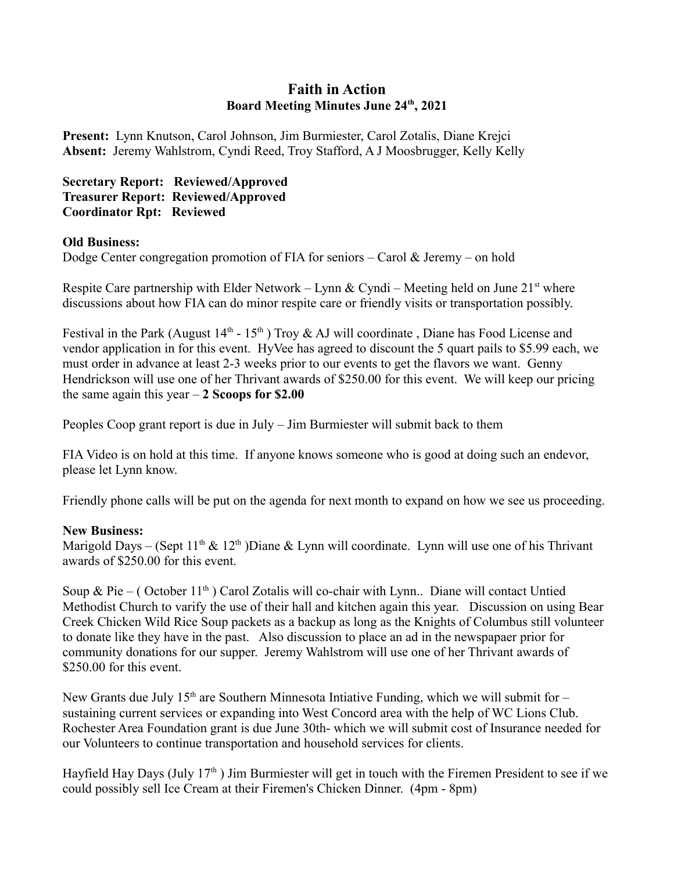## **Faith in Action Board Meeting Minutes June 24th, 2021**

**Present:** Lynn Knutson, Carol Johnson, Jim Burmiester, Carol Zotalis, Diane Krejci **Absent:** Jeremy Wahlstrom, Cyndi Reed, Troy Stafford, A J Moosbrugger, Kelly Kelly

## **Secretary Report: Reviewed/Approved Treasurer Report: Reviewed/Approved Coordinator Rpt: Reviewed**

## **Old Business:**

Dodge Center congregation promotion of FIA for seniors – Carol & Jeremy – on hold

Respite Care partnership with Elder Network – Lynn & Cyndi – Meeting held on June  $21<sup>st</sup>$  where discussions about how FIA can do minor respite care or friendly visits or transportation possibly.

Festival in the Park (August  $14<sup>th</sup>$  -  $15<sup>th</sup>$ ) Troy & AJ will coordinate, Diane has Food License and vendor application in for this event. HyVee has agreed to discount the 5 quart pails to \$5.99 each, we must order in advance at least 2-3 weeks prior to our events to get the flavors we want. Genny Hendrickson will use one of her Thrivant awards of \$250.00 for this event. We will keep our pricing the same again this year – **2 Scoops for \$2.00**

Peoples Coop grant report is due in July – Jim Burmiester will submit back to them

FIA Video is on hold at this time. If anyone knows someone who is good at doing such an endevor, please let Lynn know.

Friendly phone calls will be put on the agenda for next month to expand on how we see us proceeding.

## **New Business:**

Marigold Days – (Sept  $11<sup>th</sup> \& 12<sup>th</sup>$ )Diane & Lynn will coordinate. Lynn will use one of his Thrivant awards of \$250.00 for this event.

Soup & Pie – (October  $11<sup>th</sup>$ ) Carol Zotalis will co-chair with Lynn.. Diane will contact Untied Methodist Church to varify the use of their hall and kitchen again this year. Discussion on using Bear Creek Chicken Wild Rice Soup packets as a backup as long as the Knights of Columbus still volunteer to donate like they have in the past. Also discussion to place an ad in the newspapaer prior for community donations for our supper. Jeremy Wahlstrom will use one of her Thrivant awards of \$250.00 for this event.

New Grants due July  $15<sup>th</sup>$  are Southern Minnesota Intiative Funding, which we will submit for – sustaining current services or expanding into West Concord area with the help of WC Lions Club. Rochester Area Foundation grant is due June 30th- which we will submit cost of Insurance needed for our Volunteers to continue transportation and household services for clients.

Hayfield Hay Days (July  $17<sup>th</sup>$ ) Jim Burmiester will get in touch with the Firemen President to see if we could possibly sell Ice Cream at their Firemen's Chicken Dinner. (4pm - 8pm)